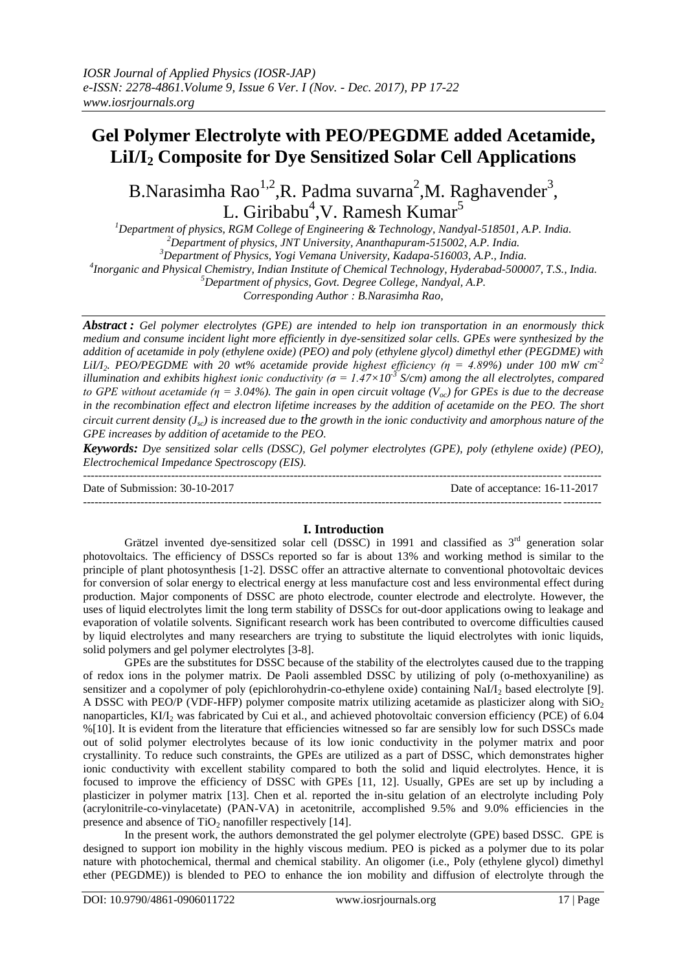## **Gel Polymer Electrolyte with PEO/PEGDME added Acetamide, LiI/I<sup>2</sup> Composite for Dye Sensitized Solar Cell Applications**

# B.Narasimha Rao<sup>1,2</sup>,R. Padma suvarna<sup>2</sup>,M. Raghavender<sup>3</sup>, L. Giribabu<sup>4</sup>,V. Ramesh Kumar<sup>5</sup>

*Department of physics, RGM College of Engineering & Technology, Nandyal-518501, A.P. India. Department of physics, JNT University, Ananthapuram-515002, A.P. India. Department of Physics, Yogi Vemana University, Kadapa-516003, A.P., India. Inorganic and Physical Chemistry, Indian Institute of Chemical Technology, Hyderabad-500007, T.S., India.*

*<sup>5</sup>Department of physics, Govt. Degree College, Nandyal, A.P.*

*Corresponding Author : B.Narasimha Rao,*

*Abstract : Gel polymer electrolytes (GPE) are intended to help ion transportation in an enormously thick medium and consume incident light more efficiently in dye-sensitized solar cells. GPEs were synthesized by the addition of acetamide in poly (ethylene oxide) (PEO) and poly (ethylene glycol) dimethyl ether (PEGDME) with LiI/I2. PEO/PEGDME with 20 wt% acetamide provide highest efficiency (η = 4.89%) under 100 mW cm-2 illumination and exhibits highest ionic conductivity (* $\sigma = 1.47 \times 10^{-3}$  *S/cm) among the all electrolytes, compared to GPE without acetamide (η = 3.04%). The gain in open circuit voltage (V<sub>oc</sub>) for GPEs is due to the decrease in the recombination effect and electron lifetime increases by the addition of acetamide on the PEO. The short circuit current density (Jsc) is increased due to the growth in the ionic conductivity and amorphous nature of the GPE increases by addition of acetamide to the PEO.*

*Keywords: Dye sensitized solar cells (DSSC), Gel polymer electrolytes (GPE), poly (ethylene oxide) (PEO), Electrochemical Impedance Spectroscopy (EIS).*

--------------------------------------------------------------------------------------------------------------------------------------- Date of Submission: 30-10-2017 Date of acceptance: 16-11-2017 ---------------------------------------------------------------------------------------------------------------------------------------

## **I. Introduction**

Grätzel invented dye-sensitized solar cell (DSSC) in 1991 and classified as  $3<sup>rd</sup>$  generation solar photovoltaics. The efficiency of DSSCs reported so far is about 13% and working method is similar to the principle of plant photosynthesis [1-2]. DSSC offer an attractive alternate to conventional photovoltaic devices for conversion of solar energy to electrical energy at less manufacture cost and less environmental effect during production. Major components of DSSC are photo electrode, counter electrode and electrolyte. However, the uses of liquid electrolytes limit the long term stability of DSSCs for out-door applications owing to leakage and evaporation of volatile solvents. Significant research work has been contributed to overcome difficulties caused by liquid electrolytes and many researchers are trying to substitute the liquid electrolytes with ionic liquids, solid polymers and gel polymer electrolytes [3-8].

GPEs are the substitutes for DSSC because of the stability of the electrolytes caused due to the trapping of redox ions in the polymer matrix. De Paoli assembled DSSC by utilizing of poly (o-methoxyaniline) as sensitizer and a copolymer of poly (epichlorohydrin-co-ethylene oxide) containing NaI/I<sub>2</sub> based electrolyte [9]. A DSSC with PEO/P (VDF-HFP) polymer composite matrix utilizing acetamide as plasticizer along with  $SiO<sub>2</sub>$ nanoparticles, KI/I<sub>2</sub> was fabricated by Cui et al., and achieved photovoltaic conversion efficiency (PCE) of 6.04 %[10]. It is evident from the literature that efficiencies witnessed so far are sensibly low for such DSSCs made out of solid polymer electrolytes because of its low ionic conductivity in the polymer matrix and poor crystallinity. To reduce such constraints, the GPEs are utilized as a part of DSSC, which demonstrates higher ionic conductivity with excellent stability compared to both the solid and liquid electrolytes. Hence, it is focused to improve the efficiency of DSSC with GPEs [11, 12]. Usually, GPEs are set up by including a plasticizer in polymer matrix [13]. Chen et al. reported the in-situ gelation of an electrolyte including Poly (acrylonitrile-co-vinylacetate) (PAN-VA) in acetonitrile, accomplished 9.5% and 9.0% efficiencies in the presence and absence of  $TiO<sub>2</sub>$  nanofiller respectively [14].

In the present work, the authors demonstrated the gel polymer electrolyte (GPE) based DSSC. GPE is designed to support ion mobility in the highly viscous medium. PEO is picked as a polymer due to its polar nature with photochemical, thermal and chemical stability. An oligomer (i.e., Poly (ethylene glycol) dimethyl ether (PEGDME)) is blended to PEO to enhance the ion mobility and diffusion of electrolyte through the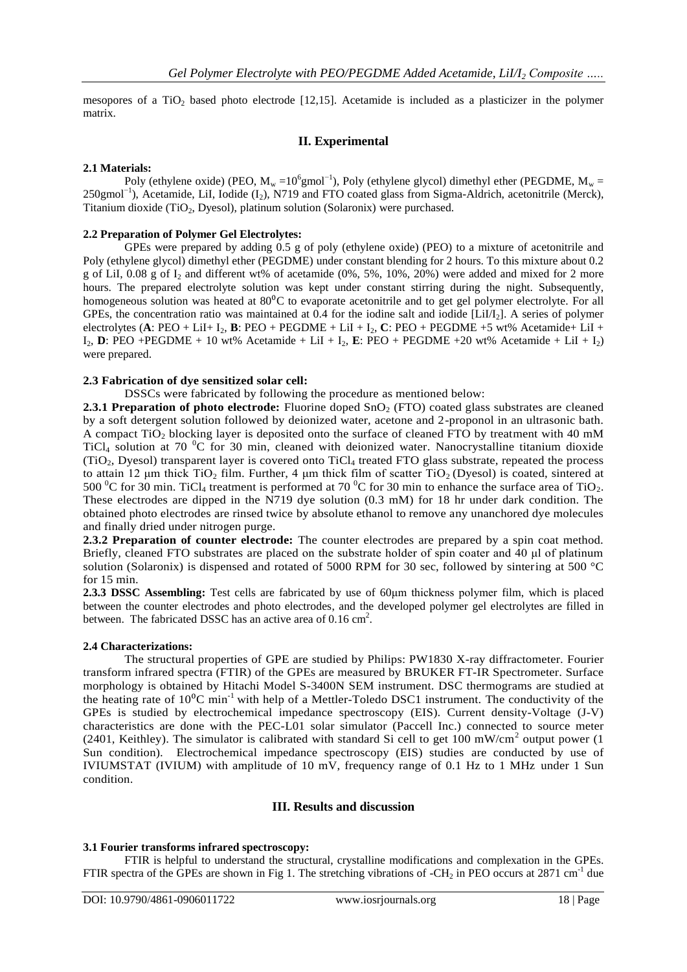mesopores of a TiO<sub>2</sub> based photo electrode [12,15]. Acetamide is included as a plasticizer in the polymer matrix.

## **II. Experimental**

## **2.1 Materials:**

Poly (ethylene oxide) (PEO,  $M_w = 10^6$ gmol<sup>-1</sup>), Poly (ethylene glycol) dimethyl ether (PEGDME,  $M_w$  = 250gmol<sup>-1</sup>), Acetamide, LiI, Iodide (I<sub>2</sub>), N719 and FTO coated glass from Sigma-Aldrich, acetonitrile (Merck), Titanium dioxide (TiO<sub>2</sub>, Dyesol), platinum solution (Solaronix) were purchased.

#### **2.2 Preparation of Polymer Gel Electrolytes:**

GPEs were prepared by adding 0.5 g of poly (ethylene oxide) (PEO) to a mixture of acetonitrile and Poly (ethylene glycol) dimethyl ether (PEGDME) under constant blending for 2 hours. To this mixture about 0.2 g of LiI, 0.08 g of I<sup>2</sup> and different wt% of acetamide (0%, 5%, 10%, 20%) were added and mixed for 2 more hours. The prepared electrolyte solution was kept under constant stirring during the night. Subsequently, homogeneous solution was heated at 80<sup>o</sup>C to evaporate acetonitrile and to get gel polymer electrolyte. For all GPEs, the concentration ratio was maintained at 0.4 for the iodine salt and iodide [LiI/I2]. A series of polymer electrolytes (A: PEO + LiI+ I<sub>2</sub>, **B**: PEO + PEGDME + LiI + I<sub>2</sub>, **C**: PEO + PEGDME +5 wt% Acetamide+ LiI +  $I_2$ , **D**: PEO + PEGDME + 10 wt% Acetamide + LiI +  $I_2$ , **E**: PEO + PEGDME +20 wt% Acetamide + LiI +  $I_2$ ) were prepared.

## **2.3 Fabrication of dye sensitized solar cell:**

DSSCs were fabricated by following the procedure as mentioned below:

**2.3.1 Preparation of photo electrode:** Fluorine doped SnO<sub>2</sub> (FTO) coated glass substrates are cleaned by a soft detergent solution followed by deionized water, acetone and 2-proponol in an ultrasonic bath. A compact  $TiO<sub>2</sub>$  blocking layer is deposited onto the surface of cleaned FTO by treatment with 40 mM  $TiCl<sub>4</sub>$  solution at 70  $^{0}C$  for 30 min, cleaned with deionized water. Nanocrystalline titanium dioxide  $(TiO<sub>2</sub>, Dyesol)$  transparent layer is covered onto  $TiCl<sub>4</sub>$  treated FTO glass substrate, repeated the process to attain 12 μm thick TiO<sub>2</sub> film. Further, 4 μm thick film of scatter TiO<sub>2</sub> (Dyesol) is coated, sintered at 500  $^{\circ}$ C for 30 min. TiCl<sub>4</sub> treatment is performed at 70  $^{\circ}$ C for 30 min to enhance the surface area of TiO<sub>2</sub>. These electrodes are dipped in the N719 dye solution (0.3 mM) for 18 hr under dark condition. The obtained photo electrodes are rinsed twice by absolute ethanol to remove any unanchored dye molecules and finally dried under nitrogen purge.

**2.3.2 Preparation of counter electrode:** The counter electrodes are prepared by a spin coat method. Briefly, cleaned FTO substrates are placed on the substrate holder of spin coater and 40 μl of platinum solution (Solaronix) is dispensed and rotated of 5000 RPM for 30 sec, followed by sintering at 500 °C for 15 min.

**2.3.3 DSSC Assembling:** Test cells are fabricated by use of 60μm thickness polymer film, which is placed between the counter electrodes and photo electrodes, and the developed polymer gel electrolytes are filled in between. The fabricated DSSC has an active area of  $0.16 \text{ cm}^2$ .

#### **2.4 Characterizations:**

The structural properties of GPE are studied by Philips: PW1830 X-ray diffractometer. Fourier transform infrared spectra (FTIR) of the GPEs are measured by BRUKER FT-IR Spectrometer. Surface morphology is obtained by Hitachi Model S-3400N SEM instrument. DSC thermograms are studied at the heating rate of  $10^{0}$ C min<sup>-1</sup> with help of a Mettler-Toledo DSC1 instrument. The conductivity of the GPEs is studied by electrochemical impedance spectroscopy (EIS). Current density-Voltage (J-V) characteristics are done with the PEC-L01 solar simulator (Paccell Inc.) connected to source meter (2401, Keithley). The simulator is calibrated with standard Si cell to get  $100 \text{ mW/cm}^2$  output power (1) Sun condition). Electrochemical impedance spectroscopy (EIS) studies are conducted by use of IVIUMSTAT (IVIUM) with amplitude of 10 mV, frequency range of 0.1 Hz to 1 MHz under 1 Sun condition.

## **III. Results and discussion**

#### **3.1 Fourier transforms infrared spectroscopy:**

FTIR is helpful to understand the structural, crystalline modifications and complexation in the GPEs. FTIR spectra of the GPEs are shown in Fig 1. The stretching vibrations of -CH<sub>2</sub> in PEO occurs at 2871 cm<sup>-1</sup> due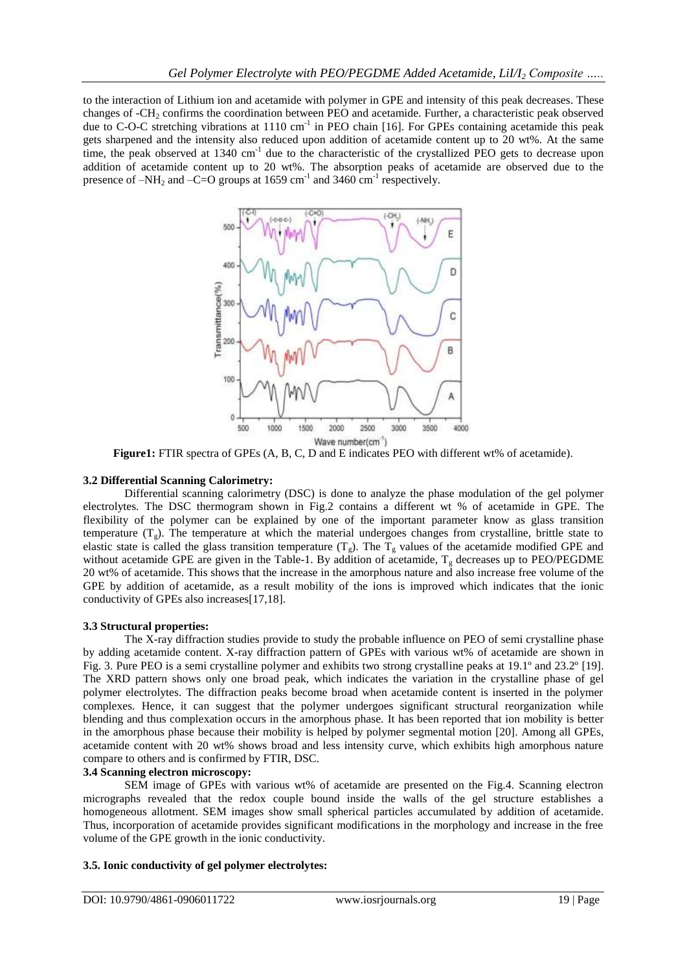to the interaction of Lithium ion and acetamide with polymer in GPE and intensity of this peak decreases. These changes of -CH<sub>2</sub> confirms the coordination between PEO and acetamide. Further, a characteristic peak observed due to C-O-C stretching vibrations at  $1110 \text{ cm}^{-1}$  in PEO chain [16]. For GPEs containing acetamide this peak gets sharpened and the intensity also reduced upon addition of acetamide content up to 20 wt%. At the same time, the peak observed at 1340 cm<sup>-1</sup> due to the characteristic of the crystallized PEO gets to decrease upon addition of acetamide content up to 20 wt%. The absorption peaks of acetamide are observed due to the presence of  $-NH_2$  and  $-C=O$  groups at 1659 cm<sup>-1</sup> and 3460 cm<sup>-1</sup> respectively.



**Figure1:** FTIR spectra of GPEs (A, B, C, D and E indicates PEO with different wt% of acetamide).

## **3.2 Differential Scanning Calorimetry:**

Differential scanning calorimetry (DSC) is done to analyze the phase modulation of the gel polymer electrolytes. The DSC thermogram shown in Fig.2 contains a different wt % of acetamide in GPE. The flexibility of the polymer can be explained by one of the important parameter know as glass transition temperature  $(T_g)$ . The temperature at which the material undergoes changes from crystalline, brittle state to elastic state is called the glass transition temperature  $(T_g)$ . The  $T_g$  values of the acetamide modified GPE and without acetamide GPE are given in the Table-1. By addition of acetamide,  $T_g$  decreases up to PEO/PEGDME 20 wt% of acetamide. This shows that the increase in the amorphous nature and also increase free volume of the GPE by addition of acetamide, as a result mobility of the ions is improved which indicates that the ionic conductivity of GPEs also increases[17,18].

## **3.3 Structural properties:**

The X-ray diffraction studies provide to study the probable influence on PEO of semi crystalline phase by adding acetamide content. X-ray diffraction pattern of GPEs with various wt% of acetamide are shown in Fig. 3. Pure PEO is a semi crystalline polymer and exhibits two strong crystalline peaks at 19.1º and 23.2º [19]. The XRD pattern shows only one broad peak, which indicates the variation in the crystalline phase of gel polymer electrolytes. The diffraction peaks become broad when acetamide content is inserted in the polymer complexes. Hence, it can suggest that the polymer undergoes significant structural reorganization while blending and thus complexation occurs in the amorphous phase. It has been reported that ion mobility is better in the amorphous phase because their mobility is helped by polymer segmental motion [20]. Among all GPEs, acetamide content with 20 wt% shows broad and less intensity curve, which exhibits high amorphous nature compare to others and is confirmed by FTIR, DSC.

## **3.4 Scanning electron microscopy:**

SEM image of GPEs with various wt% of acetamide are presented on the Fig.4. Scanning electron micrographs revealed that the redox couple bound inside the walls of the gel structure establishes a homogeneous allotment. SEM images show small spherical particles accumulated by addition of acetamide. Thus, incorporation of acetamide provides significant modifications in the morphology and increase in the free volume of the GPE growth in the ionic conductivity.

## **3.5. Ionic conductivity of gel polymer electrolytes:**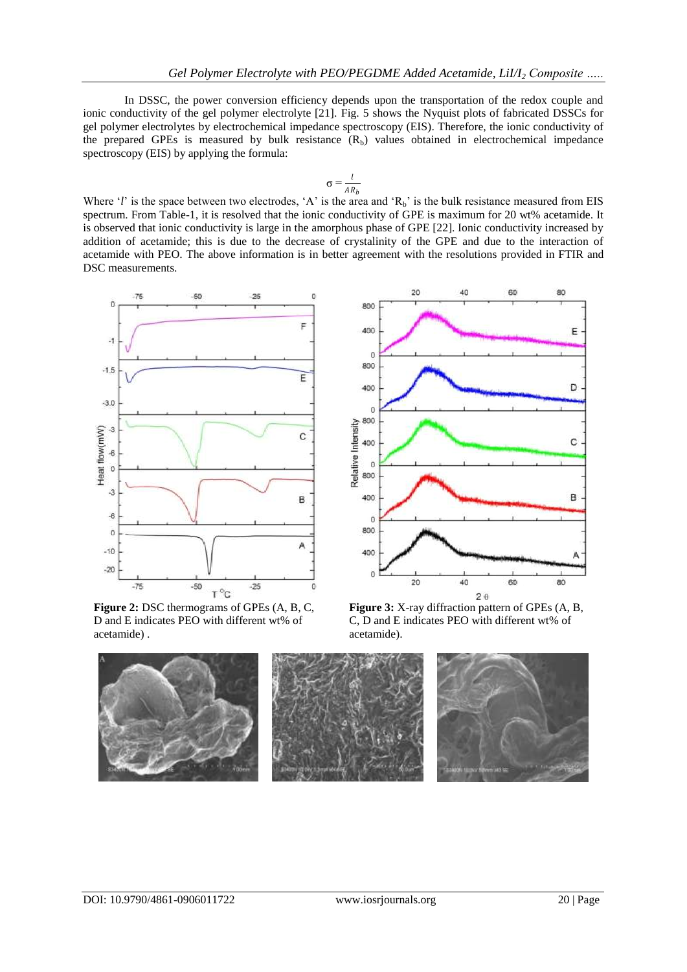In DSSC, the power conversion efficiency depends upon the transportation of the redox couple and ionic conductivity of the gel polymer electrolyte [21]. Fig. 5 shows the Nyquist plots of fabricated DSSCs for gel polymer electrolytes by electrochemical impedance spectroscopy (EIS). Therefore, the ionic conductivity of the prepared GPEs is measured by bulk resistance  $(R_b)$  values obtained in electrochemical impedance spectroscopy (EIS) by applying the formula:

$$
\sigma = \frac{l}{AR_b}
$$

Where '*l*' is the space between two electrodes, 'A' is the area and ' $R_b$ ' is the bulk resistance measured from EIS spectrum. From Table-1, it is resolved that the ionic conductivity of GPE is maximum for 20 wt% acetamide. It is observed that ionic conductivity is large in the amorphous phase of GPE [22]. Ionic conductivity increased by addition of acetamide; this is due to the decrease of crystalinity of the GPE and due to the interaction of acetamide with PEO. The above information is in better agreement with the resolutions provided in FTIR and DSC measurements.



**Figure 2:** DSC thermograms of GPEs (A, B, C, D and E indicates PEO with different wt% of acetamide) .



**Figure 3:** X-ray diffraction pattern of GPEs (A, B, C, D and E indicates PEO with different wt% of acetamide).

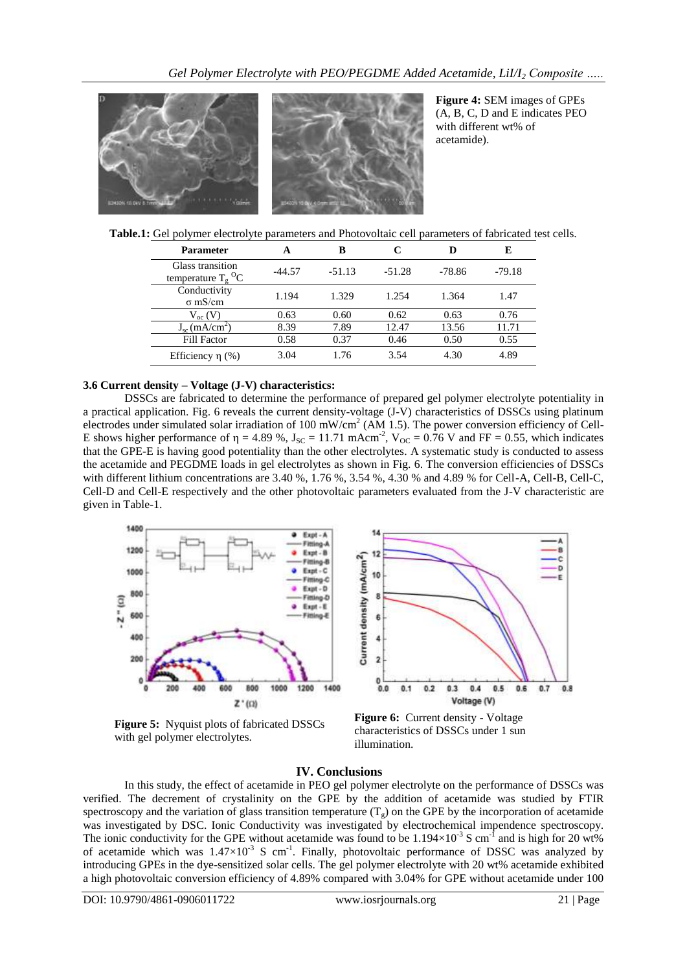

**Figure 4:** SEM images of GPEs (A, B, C, D and E indicates PEO with different wt% of acetamide).

**Table.1:** Gel polymer electrolyte parameters and Photovoltaic cell parameters of fabricated test cells.

| <b>Parameter</b>                                     |          | B        | C        |        | E        |
|------------------------------------------------------|----------|----------|----------|--------|----------|
| Glass transition<br>temperature $T_e$ <sup>O</sup> C | $-44.57$ | $-51.13$ | $-51.28$ | -78.86 | $-79.18$ |
| Conductivity<br>$\sigma$ mS/cm                       | 1.194    | 1.329    | 1.254    | 1.364  | 1.47     |
| $V_{oc}$ (V)                                         | 0.63     | 0.60     | 0.62     | 0.63   | 0.76     |
| $J_{sc}$ (mA/cm <sup>2</sup> )                       | 8.39     | 7.89     | 12.47    | 13.56  | 11.71    |
| <b>Fill Factor</b>                                   | 0.58     | 0.37     | 0.46     | 0.50   | 0.55     |
| Efficiency $\eta$ (%)                                | 3.04     | 1.76     | 3.54     | 4.30   | 4.89     |

## **3.6 Current density – Voltage (J-V) characteristics:**

DSSCs are fabricated to determine the performance of prepared gel polymer electrolyte potentiality in a practical application. Fig. 6 reveals the current density-voltage (J-V) characteristics of DSSCs using platinum electrodes under simulated solar irradiation of 100 mW/cm<sup>2</sup> (AM 1.5). The power conversion efficiency of Cell-E shows higher performance of  $\eta = 4.89$  %,  $J_{SC} = 11.71$  mAcm<sup>-2</sup>,  $V_{OC} = 0.76$  V and FF = 0.55, which indicates that the GPE-E is having good potentiality than the other electrolytes. A systematic study is conducted to assess the acetamide and PEGDME loads in gel electrolytes as shown in Fig. 6. The conversion efficiencies of DSSCs with different lithium concentrations are 3.40 %, 1.76 %, 3.54 %, 4.30 % and 4.89 % for Cell-A, Cell-B, Cell-C, Cell-D and Cell-E respectively and the other photovoltaic parameters evaluated from the J-V characteristic are given in Table-1.



**Figure 5:** Nyquist plots of fabricated DSSCs with gel polymer electrolytes.



**Figure 6:** Current density - Voltage characteristics of DSSCs under 1 sun illumination.

#### **IV. Conclusions**

In this study, the effect of acetamide in PEO gel polymer electrolyte on the performance of DSSCs was verified. The decrement of crystalinity on the GPE by the addition of acetamide was studied by FTIR spectroscopy and the variation of glass transition temperature  $(T_g)$  on the GPE by the incorporation of acetamide was investigated by DSC. Ionic Conductivity was investigated by electrochemical impendence spectroscopy. The ionic conductivity for the GPE without acetamide was found to be  $1.194\times10^{-3}$  S cm<sup>-1</sup> and is high for 20 wt% of acetamide which was  $1.47 \times 10^{-3}$  S cm<sup>-1</sup>. Finally, photovoltaic performance of DSSC was analyzed by introducing GPEs in the dye-sensitized solar cells. The gel polymer electrolyte with 20 wt% acetamide exhibited a high photovoltaic conversion efficiency of 4.89% compared with 3.04% for GPE without acetamide under 100